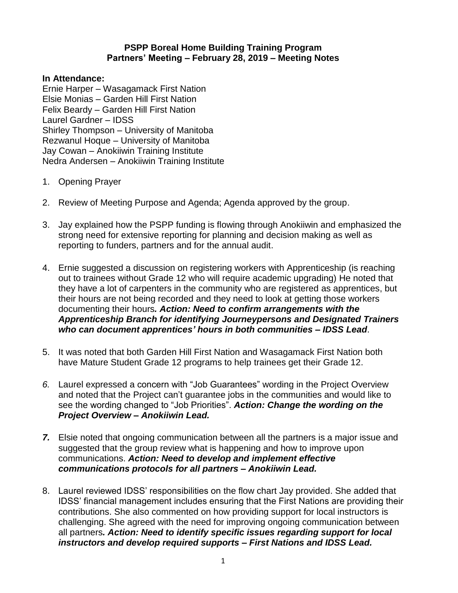## **PSPP Boreal Home Building Training Program Partners' Meeting – February 28, 2019 – Meeting Notes**

## **In Attendance:**

Ernie Harper – Wasagamack First Nation Elsie Monias – Garden Hill First Nation Felix Beardy – Garden Hill First Nation Laurel Gardner – IDSS Shirley Thompson – University of Manitoba Rezwanul Hoque – University of Manitoba Jay Cowan – Anokiiwin Training Institute Nedra Andersen – Anokiiwin Training Institute

- 1. Opening Prayer
- 2. Review of Meeting Purpose and Agenda; Agenda approved by the group.
- 3. Jay explained how the PSPP funding is flowing through Anokiiwin and emphasized the strong need for extensive reporting for planning and decision making as well as reporting to funders, partners and for the annual audit.
- 4. Ernie suggested a discussion on registering workers with Apprenticeship (is reaching out to trainees without Grade 12 who will require academic upgrading) He noted that they have a lot of carpenters in the community who are registered as apprentices, but their hours are not being recorded and they need to look at getting those workers documenting their hours*. Action: Need to confirm arrangements with the Apprenticeship Branch for identifying Journeypersons and Designated Trainers who can document apprentices' hours in both communities – IDSS Lead*.
- 5. It was noted that both Garden Hill First Nation and Wasagamack First Nation both have Mature Student Grade 12 programs to help trainees get their Grade 12.
- *6.* Laurel expressed a concern with "Job Guarantees" wording in the Project Overview and noted that the Project can't guarantee jobs in the communities and would like to see the wording changed to "Job Priorities". *Action: Change the wording on the Project Overview – Anokiiwin Lead.*
- *7.* Elsie noted that ongoing communication between all the partners is a major issue and suggested that the group review what is happening and how to improve upon communications. *Action: Need to develop and implement effective communications protocols for all partners – Anokiiwin Lead.*
- 8. Laurel reviewed IDSS' responsibilities on the flow chart Jay provided. She added that IDSS' financial management includes ensuring that the First Nations are providing their contributions. She also commented on how providing support for local instructors is challenging. She agreed with the need for improving ongoing communication between all partners*. Action: Need to identify specific issues regarding support for local instructors and develop required supports – First Nations and IDSS Lead.*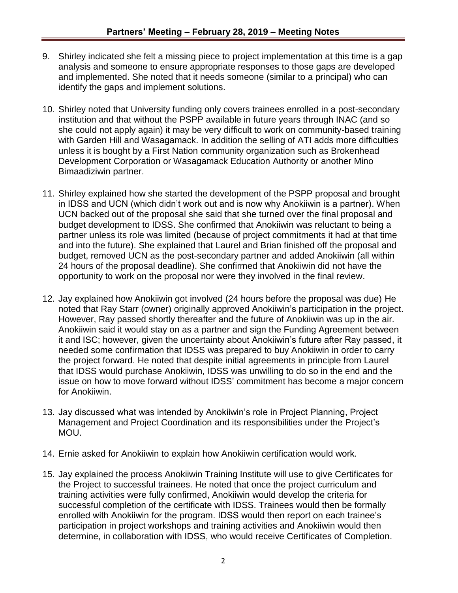- 9. Shirley indicated she felt a missing piece to project implementation at this time is a gap analysis and someone to ensure appropriate responses to those gaps are developed and implemented. She noted that it needs someone (similar to a principal) who can identify the gaps and implement solutions.
- 10. Shirley noted that University funding only covers trainees enrolled in a post-secondary institution and that without the PSPP available in future years through INAC (and so she could not apply again) it may be very difficult to work on community-based training with Garden Hill and Wasagamack. In addition the selling of ATI adds more difficulties unless it is bought by a First Nation community organization such as Brokenhead Development Corporation or Wasagamack Education Authority or another Mino Bimaadiziwin partner.
- 11. Shirley explained how she started the development of the PSPP proposal and brought in IDSS and UCN (which didn't work out and is now why Anokiiwin is a partner). When UCN backed out of the proposal she said that she turned over the final proposal and budget development to IDSS. She confirmed that Anokiiwin was reluctant to being a partner unless its role was limited (because of project commitments it had at that time and into the future). She explained that Laurel and Brian finished off the proposal and budget, removed UCN as the post-secondary partner and added Anokiiwin (all within 24 hours of the proposal deadline). She confirmed that Anokiiwin did not have the opportunity to work on the proposal nor were they involved in the final review.
- 12. Jay explained how Anokiiwin got involved (24 hours before the proposal was due) He noted that Ray Starr (owner) originally approved Anokiiwin's participation in the project. However, Ray passed shortly thereafter and the future of Anokiiwin was up in the air. Anokiiwin said it would stay on as a partner and sign the Funding Agreement between it and ISC; however, given the uncertainty about Anokiiwin's future after Ray passed, it needed some confirmation that IDSS was prepared to buy Anokiiwin in order to carry the project forward. He noted that despite initial agreements in principle from Laurel that IDSS would purchase Anokiiwin, IDSS was unwilling to do so in the end and the issue on how to move forward without IDSS' commitment has become a major concern for Anokiiwin.
- 13. Jay discussed what was intended by Anokiiwin's role in Project Planning, Project Management and Project Coordination and its responsibilities under the Project's MOU.
- 14. Ernie asked for Anokiiwin to explain how Anokiiwin certification would work.
- 15. Jay explained the process Anokiiwin Training Institute will use to give Certificates for the Project to successful trainees. He noted that once the project curriculum and training activities were fully confirmed, Anokiiwin would develop the criteria for successful completion of the certificate with IDSS. Trainees would then be formally enrolled with Anokiiwin for the program. IDSS would then report on each trainee's participation in project workshops and training activities and Anokiiwin would then determine, in collaboration with IDSS, who would receive Certificates of Completion.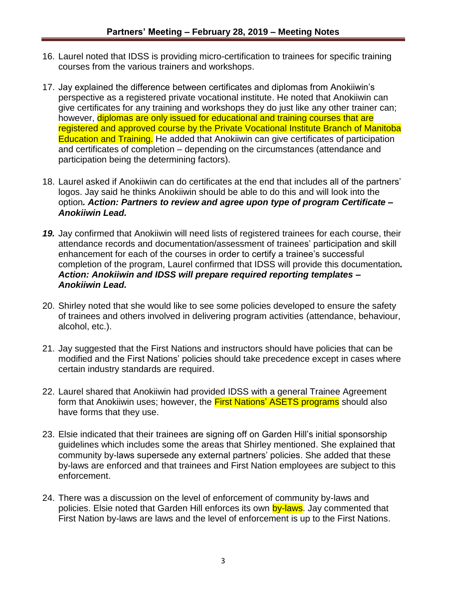- 16. Laurel noted that IDSS is providing micro-certification to trainees for specific training courses from the various trainers and workshops.
- 17. Jay explained the difference between certificates and diplomas from Anokiiwin's perspective as a registered private vocational institute. He noted that Anokiiwin can give certificates for any training and workshops they do just like any other trainer can; however, diplomas are only issued for educational and training courses that are registered and approved course by the Private Vocational Institute Branch of Manitoba Education and Training. He added that Anokiiwin can give certificates of participation and certificates of completion – depending on the circumstances (attendance and participation being the determining factors).
- 18. Laurel asked if Anokiiwin can do certificates at the end that includes all of the partners' logos. Jay said he thinks Anokiiwin should be able to do this and will look into the option*. Action: Partners to review and agree upon type of program Certificate – Anokiiwin Lead.*
- *19.* Jay confirmed that Anokiiwin will need lists of registered trainees for each course, their attendance records and documentation/assessment of trainees' participation and skill enhancement for each of the courses in order to certify a trainee's successful completion of the program, Laurel confirmed that IDSS will provide this documentation*. Action: Anokiiwin and IDSS will prepare required reporting templates – Anokiiwin Lead.*
- 20. Shirley noted that she would like to see some policies developed to ensure the safety of trainees and others involved in delivering program activities (attendance, behaviour, alcohol, etc.).
- 21. Jay suggested that the First Nations and instructors should have policies that can be modified and the First Nations' policies should take precedence except in cases where certain industry standards are required.
- 22. Laurel shared that Anokiiwin had provided IDSS with a general Trainee Agreement form that Anokiiwin uses; however, the **First Nations' ASETS programs** should also have forms that they use.
- 23. Elsie indicated that their trainees are signing off on Garden Hill's initial sponsorship guidelines which includes some the areas that Shirley mentioned. She explained that community by-laws supersede any external partners' policies. She added that these by-laws are enforced and that trainees and First Nation employees are subject to this enforcement.
- 24. There was a discussion on the level of enforcement of community by-laws and policies. Elsie noted that Garden Hill enforces its own by-laws. Jay commented that First Nation by-laws are laws and the level of enforcement is up to the First Nations.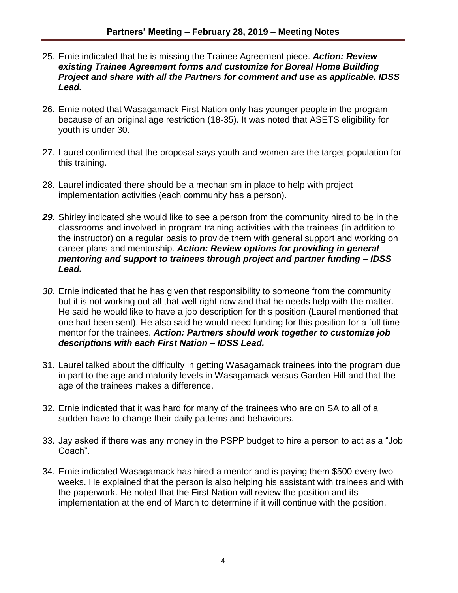- 25. Ernie indicated that he is missing the Trainee Agreement piece. *Action: Review existing Trainee Agreement forms and customize for Boreal Home Building Project and share with all the Partners for comment and use as applicable. IDSS Lead.*
- 26. Ernie noted that Wasagamack First Nation only has younger people in the program because of an original age restriction (18-35). It was noted that ASETS eligibility for youth is under 30.
- 27. Laurel confirmed that the proposal says youth and women are the target population for this training.
- 28. Laurel indicated there should be a mechanism in place to help with project implementation activities (each community has a person).
- *29.* Shirley indicated she would like to see a person from the community hired to be in the classrooms and involved in program training activities with the trainees (in addition to the instructor) on a regular basis to provide them with general support and working on career plans and mentorship. *Action: Review options for providing in general mentoring and support to trainees through project and partner funding – IDSS Lead.*
- *30.* Ernie indicated that he has given that responsibility to someone from the community but it is not working out all that well right now and that he needs help with the matter. He said he would like to have a job description for this position (Laurel mentioned that one had been sent). He also said he would need funding for this position for a full time mentor for the trainees. *Action: Partners should work together to customize job descriptions with each First Nation – IDSS Lead.*
- 31. Laurel talked about the difficulty in getting Wasagamack trainees into the program due in part to the age and maturity levels in Wasagamack versus Garden Hill and that the age of the trainees makes a difference.
- 32. Ernie indicated that it was hard for many of the trainees who are on SA to all of a sudden have to change their daily patterns and behaviours.
- 33. Jay asked if there was any money in the PSPP budget to hire a person to act as a "Job Coach".
- 34. Ernie indicated Wasagamack has hired a mentor and is paying them \$500 every two weeks. He explained that the person is also helping his assistant with trainees and with the paperwork. He noted that the First Nation will review the position and its implementation at the end of March to determine if it will continue with the position.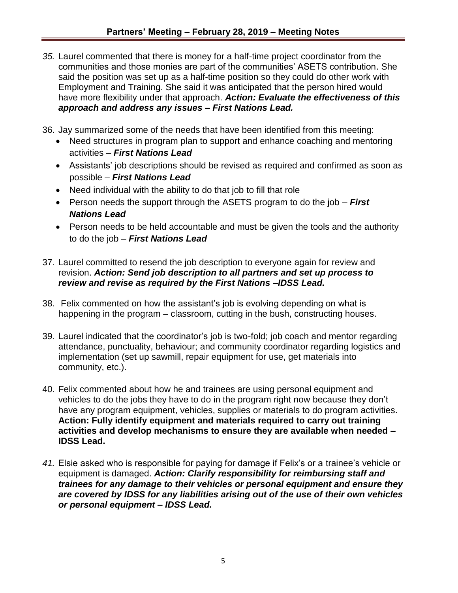- *35.* Laurel commented that there is money for a half-time project coordinator from the communities and those monies are part of the communities' ASETS contribution. She said the position was set up as a half-time position so they could do other work with Employment and Training. She said it was anticipated that the person hired would have more flexibility under that approach. *Action: Evaluate the effectiveness of this approach and address any issues – First Nations Lead.*
- 36. Jay summarized some of the needs that have been identified from this meeting:
	- Need structures in program plan to support and enhance coaching and mentoring activities – *First Nations Lead*
	- Assistants' job descriptions should be revised as required and confirmed as soon as possible – *First Nations Lead*
	- Need individual with the ability to do that job to fill that role
	- Person needs the support through the ASETS program to do the job *First Nations Lead*
	- Person needs to be held accountable and must be given the tools and the authority to do the job – *First Nations Lead*
- 37. Laurel committed to resend the job description to everyone again for review and revision. *Action: Send job description to all partners and set up process to review and revise as required by the First Nations –IDSS Lead.*
- 38. Felix commented on how the assistant's job is evolving depending on what is happening in the program – classroom, cutting in the bush, constructing houses.
- 39. Laurel indicated that the coordinator's job is two-fold; job coach and mentor regarding attendance, punctuality, behaviour; and community coordinator regarding logistics and implementation (set up sawmill, repair equipment for use, get materials into community, etc.).
- 40. Felix commented about how he and trainees are using personal equipment and vehicles to do the jobs they have to do in the program right now because they don't have any program equipment, vehicles, supplies or materials to do program activities. **Action: Fully identify equipment and materials required to carry out training activities and develop mechanisms to ensure they are available when needed – IDSS Lead.**
- *41.* Elsie asked who is responsible for paying for damage if Felix's or a trainee's vehicle or equipment is damaged. *Action: Clarify responsibility for reimbursing staff and trainees for any damage to their vehicles or personal equipment and ensure they are covered by IDSS for any liabilities arising out of the use of their own vehicles or personal equipment – IDSS Lead.*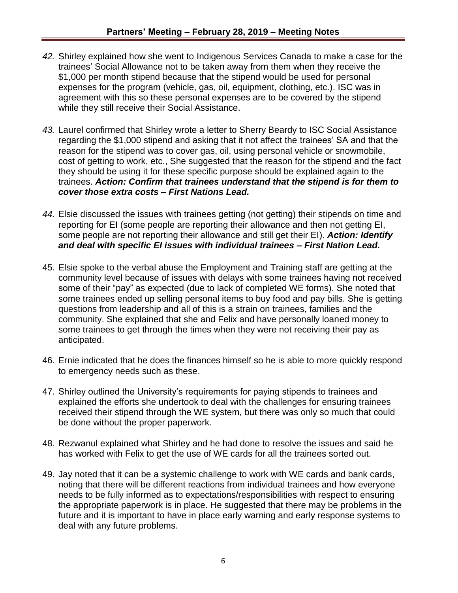- *42.* Shirley explained how she went to Indigenous Services Canada to make a case for the trainees' Social Allowance not to be taken away from them when they receive the \$1,000 per month stipend because that the stipend would be used for personal expenses for the program (vehicle, gas, oil, equipment, clothing, etc.). ISC was in agreement with this so these personal expenses are to be covered by the stipend while they still receive their Social Assistance.
- *43.* Laurel confirmed that Shirley wrote a letter to Sherry Beardy to ISC Social Assistance regarding the \$1,000 stipend and asking that it not affect the trainees' SA and that the reason for the stipend was to cover gas, oil, using personal vehicle or snowmobile, cost of getting to work, etc., She suggested that the reason for the stipend and the fact they should be using it for these specific purpose should be explained again to the trainees. *Action: Confirm that trainees understand that the stipend is for them to cover those extra costs – First Nations Lead.*
- *44.* Elsie discussed the issues with trainees getting (not getting) their stipends on time and reporting for EI (some people are reporting their allowance and then not getting EI, some people are not reporting their allowance and still get their EI). *Action: Identify and deal with specific EI issues with individual trainees – First Nation Lead.*
- 45. Elsie spoke to the verbal abuse the Employment and Training staff are getting at the community level because of issues with delays with some trainees having not received some of their "pay" as expected (due to lack of completed WE forms). She noted that some trainees ended up selling personal items to buy food and pay bills. She is getting questions from leadership and all of this is a strain on trainees, families and the community. She explained that she and Felix and have personally loaned money to some trainees to get through the times when they were not receiving their pay as anticipated.
- 46. Ernie indicated that he does the finances himself so he is able to more quickly respond to emergency needs such as these.
- 47. Shirley outlined the University's requirements for paying stipends to trainees and explained the efforts she undertook to deal with the challenges for ensuring trainees received their stipend through the WE system, but there was only so much that could be done without the proper paperwork.
- 48. Rezwanul explained what Shirley and he had done to resolve the issues and said he has worked with Felix to get the use of WE cards for all the trainees sorted out.
- 49. Jay noted that it can be a systemic challenge to work with WE cards and bank cards, noting that there will be different reactions from individual trainees and how everyone needs to be fully informed as to expectations/responsibilities with respect to ensuring the appropriate paperwork is in place. He suggested that there may be problems in the future and it is important to have in place early warning and early response systems to deal with any future problems.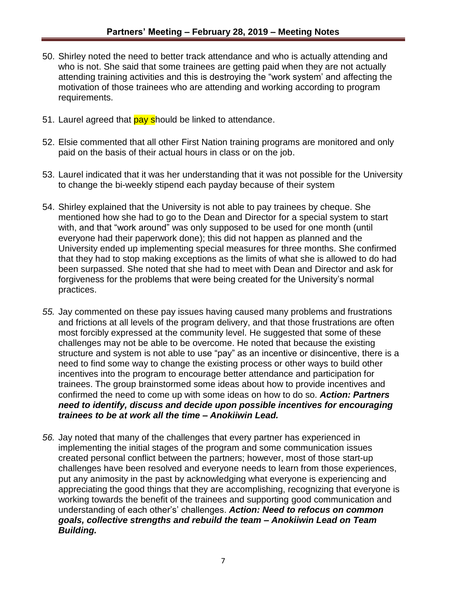- 50. Shirley noted the need to better track attendance and who is actually attending and who is not. She said that some trainees are getting paid when they are not actually attending training activities and this is destroying the "work system' and affecting the motivation of those trainees who are attending and working according to program requirements.
- 51. Laurel agreed that pay should be linked to attendance.
- 52. Elsie commented that all other First Nation training programs are monitored and only paid on the basis of their actual hours in class or on the job.
- 53. Laurel indicated that it was her understanding that it was not possible for the University to change the bi-weekly stipend each payday because of their system
- 54. Shirley explained that the University is not able to pay trainees by cheque. She mentioned how she had to go to the Dean and Director for a special system to start with, and that "work around" was only supposed to be used for one month (until everyone had their paperwork done); this did not happen as planned and the University ended up implementing special measures for three months. She confirmed that they had to stop making exceptions as the limits of what she is allowed to do had been surpassed. She noted that she had to meet with Dean and Director and ask for forgiveness for the problems that were being created for the University's normal practices.
- *55.* Jay commented on these pay issues having caused many problems and frustrations and frictions at all levels of the program delivery, and that those frustrations are often most forcibly expressed at the community level. He suggested that some of these challenges may not be able to be overcome. He noted that because the existing structure and system is not able to use "pay" as an incentive or disincentive, there is a need to find some way to change the existing process or other ways to build other incentives into the program to encourage better attendance and participation for trainees. The group brainstormed some ideas about how to provide incentives and confirmed the need to come up with some ideas on how to do so. *Action: Partners need to identify, discuss and decide upon possible incentives for encouraging trainees to be at work all the time – Anokiiwin Lead.*
- *56.* Jay noted that many of the challenges that every partner has experienced in implementing the initial stages of the program and some communication issues created personal conflict between the partners; however, most of those start-up challenges have been resolved and everyone needs to learn from those experiences, put any animosity in the past by acknowledging what everyone is experiencing and appreciating the good things that they are accomplishing, recognizing that everyone is working towards the benefit of the trainees and supporting good communication and understanding of each other's' challenges. *Action: Need to refocus on common goals, collective strengths and rebuild the team – Anokiiwin Lead on Team Building.*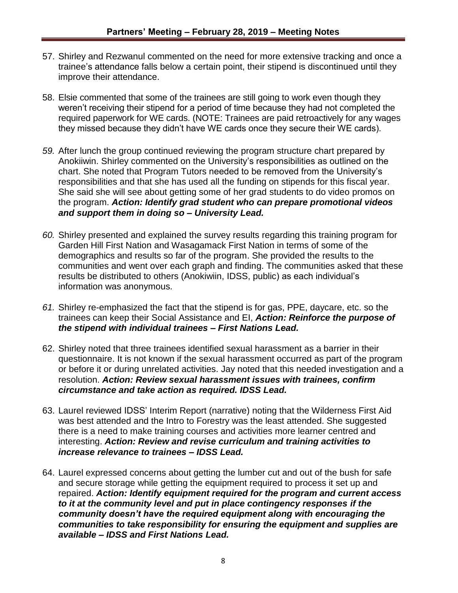- 57. Shirley and Rezwanul commented on the need for more extensive tracking and once a trainee's attendance falls below a certain point, their stipend is discontinued until they improve their attendance.
- 58. Elsie commented that some of the trainees are still going to work even though they weren't receiving their stipend for a period of time because they had not completed the required paperwork for WE cards. (NOTE: Trainees are paid retroactively for any wages they missed because they didn't have WE cards once they secure their WE cards).
- *59.* After lunch the group continued reviewing the program structure chart prepared by Anokiiwin. Shirley commented on the University's responsibilities as outlined on the chart. She noted that Program Tutors needed to be removed from the University's responsibilities and that she has used all the funding on stipends for this fiscal year. She said she will see about getting some of her grad students to do video promos on the program. *Action: Identify grad student who can prepare promotional videos and support them in doing so – University Lead.*
- *60.* Shirley presented and explained the survey results regarding this training program for Garden Hill First Nation and Wasagamack First Nation in terms of some of the demographics and results so far of the program. She provided the results to the communities and went over each graph and finding. The communities asked that these results be distributed to others (Anokiwiin, IDSS, public) as each individual's information was anonymous.
- *61.* Shirley re-emphasized the fact that the stipend is for gas, PPE, daycare, etc. so the trainees can keep their Social Assistance and EI, *Action: Reinforce the purpose of the stipend with individual trainees – First Nations Lead.*
- 62. Shirley noted that three trainees identified sexual harassment as a barrier in their questionnaire. It is not known if the sexual harassment occurred as part of the program or before it or during unrelated activities. Jay noted that this needed investigation and a resolution. *Action: Review sexual harassment issues with trainees, confirm circumstance and take action as required. IDSS Lead.*
- 63. Laurel reviewed IDSS' Interim Report (narrative) noting that the Wilderness First Aid was best attended and the Intro to Forestry was the least attended. She suggested there is a need to make training courses and activities more learner centred and interesting. *Action: Review and revise curriculum and training activities to increase relevance to trainees – IDSS Lead.*
- 64. Laurel expressed concerns about getting the lumber cut and out of the bush for safe and secure storage while getting the equipment required to process it set up and repaired. *Action: Identify equipment required for the program and current access to it at the community level and put in place contingency responses if the community doesn't have the required equipment along with encouraging the communities to take responsibility for ensuring the equipment and supplies are available – IDSS and First Nations Lead.*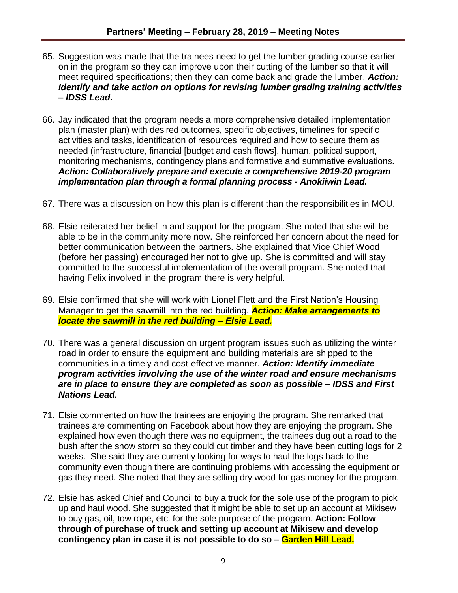- 65. Suggestion was made that the trainees need to get the lumber grading course earlier on in the program so they can improve upon their cutting of the lumber so that it will meet required specifications; then they can come back and grade the lumber. *Action: Identify and take action on options for revising lumber grading training activities – IDSS Lead.*
- 66. Jay indicated that the program needs a more comprehensive detailed implementation plan (master plan) with desired outcomes, specific objectives, timelines for specific activities and tasks, identification of resources required and how to secure them as needed (infrastructure, financial [budget and cash flows], human, political support, monitoring mechanisms, contingency plans and formative and summative evaluations. *Action: Collaboratively prepare and execute a comprehensive 2019-20 program implementation plan through a formal planning process - Anokiiwin Lead.*
- 67. There was a discussion on how this plan is different than the responsibilities in MOU.
- 68. Elsie reiterated her belief in and support for the program. She noted that she will be able to be in the community more now. She reinforced her concern about the need for better communication between the partners. She explained that Vice Chief Wood (before her passing) encouraged her not to give up. She is committed and will stay committed to the successful implementation of the overall program. She noted that having Felix involved in the program there is very helpful.
- 69. Elsie confirmed that she will work with Lionel Flett and the First Nation's Housing Manager to get the sawmill into the red building. *Action: Make arrangements to locate the sawmill in the red building – Elsie Lead.*
- 70. There was a general discussion on urgent program issues such as utilizing the winter road in order to ensure the equipment and building materials are shipped to the communities in a timely and cost-effective manner. *Action: Identify immediate program activities involving the use of the winter road and ensure mechanisms are in place to ensure they are completed as soon as possible – IDSS and First Nations Lead.*
- 71. Elsie commented on how the trainees are enjoying the program. She remarked that trainees are commenting on Facebook about how they are enjoying the program. She explained how even though there was no equipment, the trainees dug out a road to the bush after the snow storm so they could cut timber and they have been cutting logs for 2 weeks. She said they are currently looking for ways to haul the logs back to the community even though there are continuing problems with accessing the equipment or gas they need. She noted that they are selling dry wood for gas money for the program.
- 72. Elsie has asked Chief and Council to buy a truck for the sole use of the program to pick up and haul wood. She suggested that it might be able to set up an account at Mikisew to buy gas, oil, tow rope, etc. for the sole purpose of the program. **Action: Follow through of purchase of truck and setting up account at Mikisew and develop contingency plan in case it is not possible to do so – Garden Hill Lead.**